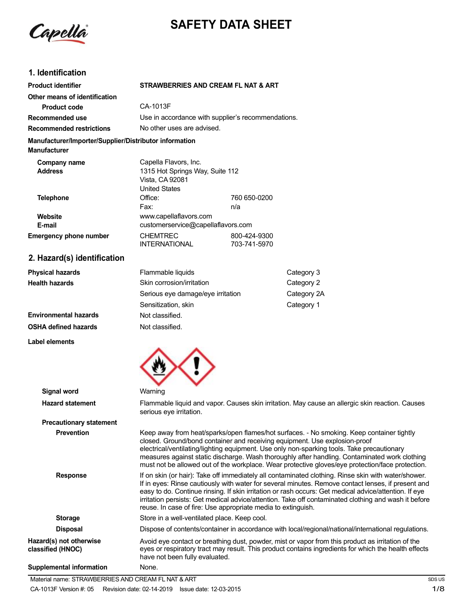Capella

# **SAFETY DATA SHEET**

# **1. Identification**

**Health hazards**

**Label elements**

**Environmental hazards OSHA defined hazards**

| <b>Product identifier</b>                                                     |                                                                                                     | STRAWBERRIES AND CREAM FL NAT & ART |     |
|-------------------------------------------------------------------------------|-----------------------------------------------------------------------------------------------------|-------------------------------------|-----|
| Other means of identification                                                 |                                                                                                     |                                     |     |
| <b>Product code</b>                                                           | CA-1013F                                                                                            |                                     |     |
| Recommended use                                                               | Use in accordance with supplier's recommendations.                                                  |                                     |     |
| <b>Recommended restrictions</b>                                               |                                                                                                     | No other uses are advised.          |     |
| Manufacturer/Importer/Supplier/Distributor information<br><b>Manufacturer</b> |                                                                                                     |                                     |     |
| Company name<br><b>Address</b>                                                | Capella Flavors, Inc.<br>1315 Hot Springs Way, Suite 112<br>Vista, CA 92081<br><b>United States</b> |                                     |     |
| <b>Telephone</b>                                                              | Office:<br>Fax:                                                                                     | 760 650-0200<br>n/a                 |     |
| Website<br>E-mail                                                             | www.capellaflavors.com<br>customerservice@capellaflavors.com                                        |                                     |     |
| <b>Emergency phone number</b>                                                 | <b>CHEMTREC</b><br><b>INTERNATIONAL</b>                                                             | 800-424-9300<br>703-741-5970        |     |
| 2. Hazard(s) identification                                                   |                                                                                                     |                                     |     |
| <b>Physical hazards</b>                                                       | Flammable liquids                                                                                   |                                     | Cat |

| Flammable liquids                 | Category 3  |
|-----------------------------------|-------------|
| Skin corrosion/irritation         | Category 2  |
| Serious eye damage/eye irritation | Category 2A |
| Sensitization, skin               | Category 1  |
| Not classified.                   |             |
| Not classified.                   |             |



| Signal word                                  | Warning                                                                                                                                                                                                                                                                                                                                                                                                                                                                                    |
|----------------------------------------------|--------------------------------------------------------------------------------------------------------------------------------------------------------------------------------------------------------------------------------------------------------------------------------------------------------------------------------------------------------------------------------------------------------------------------------------------------------------------------------------------|
| <b>Hazard statement</b>                      | Flammable liquid and vapor. Causes skin irritation. May cause an allergic skin reaction. Causes<br>serious eye irritation.                                                                                                                                                                                                                                                                                                                                                                 |
| <b>Precautionary statement</b>               |                                                                                                                                                                                                                                                                                                                                                                                                                                                                                            |
| <b>Prevention</b>                            | Keep away from heat/sparks/open flames/hot surfaces. - No smoking. Keep container tightly<br>closed. Ground/bond container and receiving equipment. Use explosion-proof<br>electrical/ventilating/lighting equipment. Use only non-sparking tools. Take precautionary<br>measures against static discharge. Wash thoroughly after handling. Contaminated work clothing<br>must not be allowed out of the workplace. Wear protective gloves/eye protection/face protection.                 |
| <b>Response</b>                              | If on skin (or hair): Take off immediately all contaminated clothing. Rinse skin with water/shower.<br>If in eyes: Rinse cautiously with water for several minutes. Remove contact lenses, if present and<br>easy to do. Continue rinsing. If skin irritation or rash occurs: Get medical advice/attention. If eye<br>irritation persists: Get medical advice/attention. Take off contaminated clothing and wash it before<br>reuse. In case of fire: Use appropriate media to extinguish. |
| <b>Storage</b>                               | Store in a well-ventilated place. Keep cool.                                                                                                                                                                                                                                                                                                                                                                                                                                               |
| <b>Disposal</b>                              | Dispose of contents/container in accordance with local/regional/national/international regulations.                                                                                                                                                                                                                                                                                                                                                                                        |
| Hazard(s) not otherwise<br>classified (HNOC) | Avoid eye contact or breathing dust, powder, mist or vapor from this product as irritation of the<br>eyes or respiratory tract may result. This product contains ingredients for which the health effects<br>have not been fully evaluated.                                                                                                                                                                                                                                                |
| <b>Supplemental information</b>              | None.                                                                                                                                                                                                                                                                                                                                                                                                                                                                                      |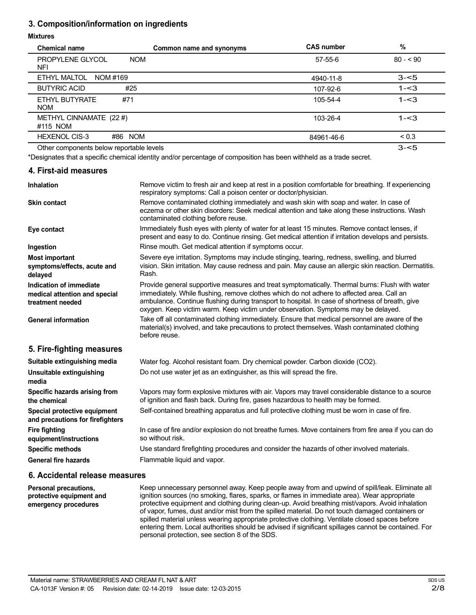# **3. Composition/information on ingredients**

#### **Mixtures**

| <b>Chemical name</b>                         | Common name and synonyms | <b>CAS number</b> | %          |
|----------------------------------------------|--------------------------|-------------------|------------|
| <b>PROPYLENE GLYCOL</b><br><b>NOM</b><br>NFI |                          | $57 - 55 - 6$     | $80 - 90$  |
| ETHYL MALTOL<br>NOM #169                     |                          | 4940-11-8         | $3 - 5$    |
| <b>BUTYRIC ACID</b><br>#25                   |                          | 107-92-6          | $1 - 3$    |
| #71<br>ETHYL BUTYRATE<br><b>NOM</b>          |                          | 105-54-4          | $1 - 3$    |
| METHYL CINNAMATE (22 #)<br>#115 NOM          |                          | 103-26-4          | $1 - 3$    |
| <b>HEXENOL CIS-3</b><br>#86 NOM              |                          | 84961-46-6        | ${}_{0.3}$ |
| Other components below reportable levels     |                          |                   | $3 - 5$    |

\*Designates that a specific chemical identity and/or percentage of composition has been withheld as a trade secret.

#### **4. First-aid measures**

| <b>Inhalation</b>                                                            | Remove victim to fresh air and keep at rest in a position comfortable for breathing. If experiencing<br>respiratory symptoms: Call a poison center or doctor/physician.                                                                                                                                                                                                             |
|------------------------------------------------------------------------------|-------------------------------------------------------------------------------------------------------------------------------------------------------------------------------------------------------------------------------------------------------------------------------------------------------------------------------------------------------------------------------------|
| <b>Skin contact</b>                                                          | Remove contaminated clothing immediately and wash skin with soap and water. In case of<br>eczema or other skin disorders: Seek medical attention and take along these instructions. Wash<br>contaminated clothing before reuse.                                                                                                                                                     |
| Eye contact                                                                  | Immediately flush eyes with plenty of water for at least 15 minutes. Remove contact lenses, if<br>present and easy to do. Continue rinsing. Get medical attention if irritation develops and persists.                                                                                                                                                                              |
| Ingestion                                                                    | Rinse mouth. Get medical attention if symptoms occur.                                                                                                                                                                                                                                                                                                                               |
| <b>Most important</b><br>symptoms/effects, acute and<br>delayed              | Severe eye irritation. Symptoms may include stinging, tearing, redness, swelling, and blurred<br>vision. Skin irritation. May cause redness and pain. May cause an allergic skin reaction. Dermatitis.<br>Rash.                                                                                                                                                                     |
| Indication of immediate<br>medical attention and special<br>treatment needed | Provide general supportive measures and treat symptomatically. Thermal burns: Flush with water<br>immediately. While flushing, remove clothes which do not adhere to affected area. Call an<br>ambulance. Continue flushing during transport to hospital. In case of shortness of breath, give<br>oxygen. Keep victim warm. Keep victim under observation. Symptoms may be delayed. |
| <b>General information</b>                                                   | Take off all contaminated clothing immediately. Ensure that medical personnel are aware of the<br>material(s) involved, and take precautions to protect themselves. Wash contaminated clothing<br>before reuse.                                                                                                                                                                     |
| 5. Fire-fighting measures                                                    |                                                                                                                                                                                                                                                                                                                                                                                     |
| Suitable extinguishing media                                                 | Water fog. Alcohol resistant foam. Dry chemical powder. Carbon dioxide (CO2).                                                                                                                                                                                                                                                                                                       |
| Unsuitable extinguishing<br>media                                            | Do not use water jet as an extinguisher, as this will spread the fire.                                                                                                                                                                                                                                                                                                              |
| Specific hazards arising from<br>the chemical                                | Vapors may form explosive mixtures with air. Vapors may travel considerable distance to a source<br>of ignition and flash back. During fire, gases hazardous to health may be formed.                                                                                                                                                                                               |
| Special protective equipment<br>and precautions for firefighters             | Self-contained breathing apparatus and full protective clothing must be worn in case of fire.                                                                                                                                                                                                                                                                                       |
| <b>Fire fighting</b><br>equipment/instructions                               | In case of fire and/or explosion do not breathe fumes. Move containers from fire area if you can do<br>so without risk.                                                                                                                                                                                                                                                             |
| <b>Specific methods</b>                                                      | Use standard firefighting procedures and consider the hazards of other involved materials.                                                                                                                                                                                                                                                                                          |
| <b>General fire hazards</b>                                                  | Flammable liquid and vapor.                                                                                                                                                                                                                                                                                                                                                         |

### **6. Accidental release measures**

**Personal precautions, protective equipment and emergency procedures**

Keep unnecessary personnel away. Keep people away from and upwind of spill/leak. Eliminate all ignition sources (no smoking, flares, sparks, or flames in immediate area). Wear appropriate protective equipment and clothing during clean-up. Avoid breathing mist/vapors. Avoid inhalation of vapor, fumes, dust and/or mist from the spilled material. Do not touch damaged containers or spilled material unless wearing appropriate protective clothing. Ventilate closed spaces before entering them. Local authorities should be advised if significant spillages cannot be contained. For personal protection, see section 8 of the SDS.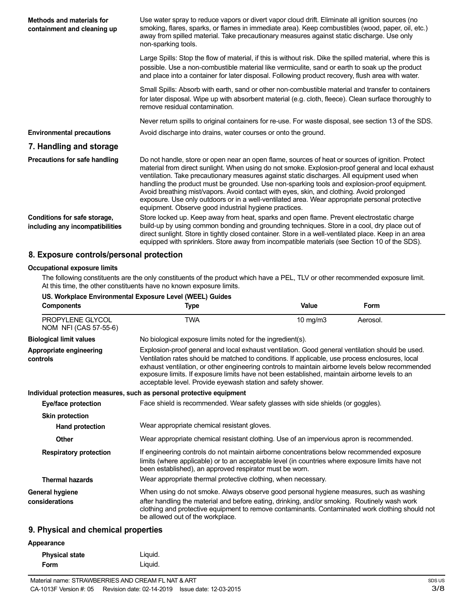| Methods and materials for<br>containment and cleaning up        | Use water spray to reduce vapors or divert vapor cloud drift. Eliminate all ignition sources (no<br>smoking, flares, sparks, or flames in immediate area). Keep combustibles (wood, paper, oil, etc.)<br>away from spilled material. Take precautionary measures against static discharge. Use only<br>non-sparking tools.                                                                                                                                                                                                                                                                                                                                   |
|-----------------------------------------------------------------|--------------------------------------------------------------------------------------------------------------------------------------------------------------------------------------------------------------------------------------------------------------------------------------------------------------------------------------------------------------------------------------------------------------------------------------------------------------------------------------------------------------------------------------------------------------------------------------------------------------------------------------------------------------|
|                                                                 | Large Spills: Stop the flow of material, if this is without risk. Dike the spilled material, where this is<br>possible. Use a non-combustible material like vermiculite, sand or earth to soak up the product<br>and place into a container for later disposal. Following product recovery, flush area with water.                                                                                                                                                                                                                                                                                                                                           |
|                                                                 | Small Spills: Absorb with earth, sand or other non-combustible material and transfer to containers<br>for later disposal. Wipe up with absorbent material (e.g. cloth, fleece). Clean surface thoroughly to<br>remove residual contamination.                                                                                                                                                                                                                                                                                                                                                                                                                |
|                                                                 | Never return spills to original containers for re-use. For waste disposal, see section 13 of the SDS.                                                                                                                                                                                                                                                                                                                                                                                                                                                                                                                                                        |
| <b>Environmental precautions</b>                                | Avoid discharge into drains, water courses or onto the ground.                                                                                                                                                                                                                                                                                                                                                                                                                                                                                                                                                                                               |
| 7. Handling and storage                                         |                                                                                                                                                                                                                                                                                                                                                                                                                                                                                                                                                                                                                                                              |
| Precautions for safe handling                                   | Do not handle, store or open near an open flame, sources of heat or sources of ignition. Protect<br>material from direct sunlight. When using do not smoke. Explosion-proof general and local exhaust<br>ventilation. Take precautionary measures against static discharges. All equipment used when<br>handling the product must be grounded. Use non-sparking tools and explosion-proof equipment.<br>Avoid breathing mist/vapors. Avoid contact with eyes, skin, and clothing. Avoid prolonged<br>exposure. Use only outdoors or in a well-ventilated area. Wear appropriate personal protective<br>equipment. Observe good industrial hygiene practices. |
| Conditions for safe storage,<br>including any incompatibilities | Store locked up. Keep away from heat, sparks and open flame. Prevent electrostatic charge<br>build-up by using common bonding and grounding techniques. Store in a cool, dry place out of<br>direct sunlight. Store in tightly closed container. Store in a well-ventilated place. Keep in an area<br>equipped with sprinklers. Store away from incompatible materials (see Section 10 of the SDS).                                                                                                                                                                                                                                                          |

## **8. Exposure controls/personal protection**

#### **Occupational exposure limits**

The following constituents are the only constituents of the product which have a PEL, TLV or other recommended exposure limit. At this time, the other constituents have no known exposure limits.

|                                                         | US. Workplace Environmental Exposure Level (WEEL) Guides                                                                                                                                                                                                                                                                                                                                                                                                                |               |          |
|---------------------------------------------------------|-------------------------------------------------------------------------------------------------------------------------------------------------------------------------------------------------------------------------------------------------------------------------------------------------------------------------------------------------------------------------------------------------------------------------------------------------------------------------|---------------|----------|
| <b>Components</b>                                       | Type                                                                                                                                                                                                                                                                                                                                                                                                                                                                    | Value         | Form     |
| PROPYLENE GLYCOL<br>NOM NFI (CAS 57-55-6)               | <b>TWA</b>                                                                                                                                                                                                                                                                                                                                                                                                                                                              | $10$ mg/m $3$ | Aerosol. |
| <b>Biological limit values</b>                          | No biological exposure limits noted for the ingredient(s).                                                                                                                                                                                                                                                                                                                                                                                                              |               |          |
| Appropriate engineering<br>controls                     | Explosion-proof general and local exhaust ventilation. Good general ventilation should be used.<br>Ventilation rates should be matched to conditions. If applicable, use process enclosures, local<br>exhaust ventilation, or other engineering controls to maintain airborne levels below recommended<br>exposure limits. If exposure limits have not been established, maintain airborne levels to an<br>acceptable level. Provide eyewash station and safety shower. |               |          |
|                                                         | Individual protection measures, such as personal protective equipment                                                                                                                                                                                                                                                                                                                                                                                                   |               |          |
| Eye/face protection                                     | Face shield is recommended. Wear safety glasses with side shields (or goggles).                                                                                                                                                                                                                                                                                                                                                                                         |               |          |
| <b>Skin protection</b>                                  |                                                                                                                                                                                                                                                                                                                                                                                                                                                                         |               |          |
| <b>Hand protection</b>                                  | Wear appropriate chemical resistant gloves.                                                                                                                                                                                                                                                                                                                                                                                                                             |               |          |
| Other                                                   | Wear appropriate chemical resistant clothing. Use of an impervious apron is recommended.                                                                                                                                                                                                                                                                                                                                                                                |               |          |
| <b>Respiratory protection</b><br><b>Thermal hazards</b> | If engineering controls do not maintain airborne concentrations below recommended exposure<br>limits (where applicable) or to an acceptable level (in countries where exposure limits have not<br>been established), an approved respirator must be worn.<br>Wear appropriate thermal protective clothing, when necessary.                                                                                                                                              |               |          |
|                                                         |                                                                                                                                                                                                                                                                                                                                                                                                                                                                         |               |          |
| <b>General hygiene</b><br>considerations                | When using do not smoke. Always observe good personal hygiene measures, such as washing<br>after handling the material and before eating, drinking, and/or smoking. Routinely wash work<br>clothing and protective equipment to remove contaminants. Contaminated work clothing should not<br>be allowed out of the workplace.                                                                                                                                          |               |          |
| <b>Q.</b> Physical and chamical proporting              |                                                                                                                                                                                                                                                                                                                                                                                                                                                                         |               |          |

## **9. Physical and chemical properties**

#### **Appearance**

| <b>Physical state</b> | Liquid. |
|-----------------------|---------|
| Form                  | Liquid. |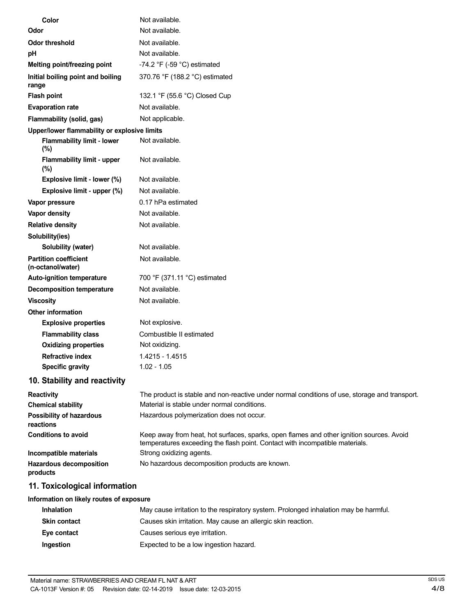| Color                                             | Not available.                                                                                                                                                           |
|---------------------------------------------------|--------------------------------------------------------------------------------------------------------------------------------------------------------------------------|
| Odor                                              | Not available.                                                                                                                                                           |
| <b>Odor threshold</b>                             | Not available.                                                                                                                                                           |
| pH                                                | Not available.                                                                                                                                                           |
| Melting point/freezing point                      | $-74.2$ °F ( $-59$ °C) estimated                                                                                                                                         |
| Initial boiling point and boiling<br>range        | 370.76 °F (188.2 °C) estimated                                                                                                                                           |
| <b>Flash point</b>                                | 132.1 °F (55.6 °C) Closed Cup                                                                                                                                            |
| <b>Evaporation rate</b>                           | Not available.                                                                                                                                                           |
| Flammability (solid, gas)                         | Not applicable.                                                                                                                                                          |
| Upper/lower flammability or explosive limits      |                                                                                                                                                                          |
| <b>Flammability limit - lower</b><br>(%)          | Not available.                                                                                                                                                           |
| <b>Flammability limit - upper</b><br>(%)          | Not available.                                                                                                                                                           |
| Explosive limit - lower (%)                       | Not available.                                                                                                                                                           |
| Explosive limit - upper (%)                       | Not available.                                                                                                                                                           |
| Vapor pressure                                    | 0.17 hPa estimated                                                                                                                                                       |
| Vapor density                                     | Not available.                                                                                                                                                           |
| <b>Relative density</b>                           | Not available.                                                                                                                                                           |
| Solubility(ies)                                   |                                                                                                                                                                          |
| Solubility (water)                                | Not available.                                                                                                                                                           |
| <b>Partition coefficient</b><br>(n-octanol/water) | Not available.                                                                                                                                                           |
| Auto-ignition temperature                         | 700 °F (371.11 °C) estimated                                                                                                                                             |
| <b>Decomposition temperature</b>                  | Not available.                                                                                                                                                           |
| <b>Viscosity</b>                                  | Not available.                                                                                                                                                           |
| <b>Other information</b>                          |                                                                                                                                                                          |
| <b>Explosive properties</b>                       | Not explosive.                                                                                                                                                           |
| <b>Flammability class</b>                         | Combustible II estimated                                                                                                                                                 |
| <b>Oxidizing properties</b>                       | Not oxidizing.                                                                                                                                                           |
| <b>Refractive index</b>                           | 1.4215 - 1.4515                                                                                                                                                          |
| <b>Specific gravity</b>                           | $1.02 - 1.05$                                                                                                                                                            |
| 10. Stability and reactivity                      |                                                                                                                                                                          |
| <b>Reactivity</b>                                 | The product is stable and non-reactive under normal conditions of use, storage and transport.                                                                            |
| <b>Chemical stability</b>                         | Material is stable under normal conditions.<br>Hazardous polymerization does not occur.                                                                                  |
| <b>Possibility of hazardous</b><br>reactions      |                                                                                                                                                                          |
| <b>Conditions to avoid</b>                        | Keep away from heat, hot surfaces, sparks, open flames and other ignition sources. Avoid<br>temperatures exceeding the flash point. Contact with incompatible materials. |
| Incompatible materials                            | Strong oxidizing agents.                                                                                                                                                 |
| Hazardous decomposition<br>products               | No hazardous decomposition products are known.                                                                                                                           |
| 11. Toxicological information                     |                                                                                                                                                                          |
| Information on likely routes of exposure          |                                                                                                                                                                          |
| <b>Inhalation</b>                                 | May cause irritation to the respiratory system. Prolonged inhalation may be harmful.                                                                                     |
| <b>Skin contact</b>                               | Causes skin irritation. May cause an allergic skin reaction.                                                                                                             |

- **Eye contact** Causes serious eye irritation.
- **Ingestion** Expected to be a low ingestion hazard.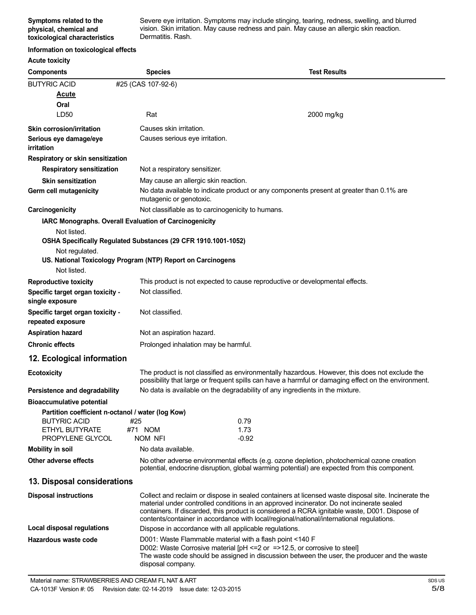Severe eye irritation. Symptoms may include stinging, tearing, redness, swelling, and blurred vision. Skin irritation. May cause redness and pain. May cause an allergic skin reaction. Dermatitis. Rash.

#### **Information on toxicological effects**

| <b>Acute toxicity</b>                                 |                                                                |                                                                                                                                                                                                                                                                                                                                                                                               |
|-------------------------------------------------------|----------------------------------------------------------------|-----------------------------------------------------------------------------------------------------------------------------------------------------------------------------------------------------------------------------------------------------------------------------------------------------------------------------------------------------------------------------------------------|
| <b>Components</b>                                     | <b>Species</b>                                                 | <b>Test Results</b>                                                                                                                                                                                                                                                                                                                                                                           |
| <b>BUTYRIC ACID</b>                                   | #25 (CAS 107-92-6)                                             |                                                                                                                                                                                                                                                                                                                                                                                               |
| <u>Acute</u>                                          |                                                                |                                                                                                                                                                                                                                                                                                                                                                                               |
| Oral                                                  |                                                                |                                                                                                                                                                                                                                                                                                                                                                                               |
| LD50                                                  | Rat                                                            | 2000 mg/kg                                                                                                                                                                                                                                                                                                                                                                                    |
| <b>Skin corrosion/irritation</b>                      | Causes skin irritation.                                        |                                                                                                                                                                                                                                                                                                                                                                                               |
| Serious eye damage/eye<br>irritation                  | Causes serious eye irritation.                                 |                                                                                                                                                                                                                                                                                                                                                                                               |
| Respiratory or skin sensitization                     |                                                                |                                                                                                                                                                                                                                                                                                                                                                                               |
| <b>Respiratory sensitization</b>                      | Not a respiratory sensitizer.                                  |                                                                                                                                                                                                                                                                                                                                                                                               |
| <b>Skin sensitization</b>                             | May cause an allergic skin reaction.                           |                                                                                                                                                                                                                                                                                                                                                                                               |
| Germ cell mutagenicity                                | mutagenic or genotoxic.                                        | No data available to indicate product or any components present at greater than 0.1% are                                                                                                                                                                                                                                                                                                      |
| Carcinogenicity                                       | Not classifiable as to carcinogenicity to humans.              |                                                                                                                                                                                                                                                                                                                                                                                               |
|                                                       | IARC Monographs. Overall Evaluation of Carcinogenicity         |                                                                                                                                                                                                                                                                                                                                                                                               |
| Not listed.                                           | OSHA Specifically Regulated Substances (29 CFR 1910.1001-1052) |                                                                                                                                                                                                                                                                                                                                                                                               |
| Not regulated.                                        |                                                                |                                                                                                                                                                                                                                                                                                                                                                                               |
|                                                       | US. National Toxicology Program (NTP) Report on Carcinogens    |                                                                                                                                                                                                                                                                                                                                                                                               |
| Not listed.                                           |                                                                |                                                                                                                                                                                                                                                                                                                                                                                               |
| <b>Reproductive toxicity</b>                          |                                                                | This product is not expected to cause reproductive or developmental effects.                                                                                                                                                                                                                                                                                                                  |
| Specific target organ toxicity -<br>single exposure   | Not classified.                                                |                                                                                                                                                                                                                                                                                                                                                                                               |
| Specific target organ toxicity -<br>repeated exposure | Not classified.                                                |                                                                                                                                                                                                                                                                                                                                                                                               |
| <b>Aspiration hazard</b>                              | Not an aspiration hazard.                                      |                                                                                                                                                                                                                                                                                                                                                                                               |
| <b>Chronic effects</b>                                | Prolonged inhalation may be harmful.                           |                                                                                                                                                                                                                                                                                                                                                                                               |
| 12. Ecological information                            |                                                                |                                                                                                                                                                                                                                                                                                                                                                                               |
| <b>Ecotoxicity</b>                                    |                                                                | The product is not classified as environmentally hazardous. However, this does not exclude the<br>possibility that large or frequent spills can have a harmful or damaging effect on the environment.                                                                                                                                                                                         |
| Persistence and degradability                         |                                                                | No data is available on the degradability of any ingredients in the mixture.                                                                                                                                                                                                                                                                                                                  |
| <b>Bioaccumulative potential</b>                      |                                                                |                                                                                                                                                                                                                                                                                                                                                                                               |
| Partition coefficient n-octanol / water (log Kow)     |                                                                |                                                                                                                                                                                                                                                                                                                                                                                               |
| <b>BUTYRIC ACID</b><br>ETHYL BUTYRATE                 | #25<br>#71 NOM                                                 | 0.79<br>1.73                                                                                                                                                                                                                                                                                                                                                                                  |
| PROPYLENE GLYCOL                                      | NOM NFI                                                        | $-0.92$                                                                                                                                                                                                                                                                                                                                                                                       |
| Mobility in soil                                      | No data available.                                             |                                                                                                                                                                                                                                                                                                                                                                                               |
| Other adverse effects                                 |                                                                | No other adverse environmental effects (e.g. ozone depletion, photochemical ozone creation<br>potential, endocrine disruption, global warming potential) are expected from this component.                                                                                                                                                                                                    |
| 13. Disposal considerations                           |                                                                |                                                                                                                                                                                                                                                                                                                                                                                               |
| <b>Disposal instructions</b>                          |                                                                | Collect and reclaim or dispose in sealed containers at licensed waste disposal site. Incinerate the<br>material under controlled conditions in an approved incinerator. Do not incinerate sealed<br>containers. If discarded, this product is considered a RCRA ignitable waste, D001. Dispose of<br>contents/container in accordance with local/regional/national/international regulations. |
| Local disposal regulations                            | Dispose in accordance with all applicable regulations.         |                                                                                                                                                                                                                                                                                                                                                                                               |
| Hazardous waste code                                  | D001: Waste Flammable material with a flash point <140 F       |                                                                                                                                                                                                                                                                                                                                                                                               |
|                                                       | disposal company.                                              | D002: Waste Corrosive material [pH <= 2 or = > 12.5, or corrosive to steel]<br>The waste code should be assigned in discussion between the user, the producer and the waste                                                                                                                                                                                                                   |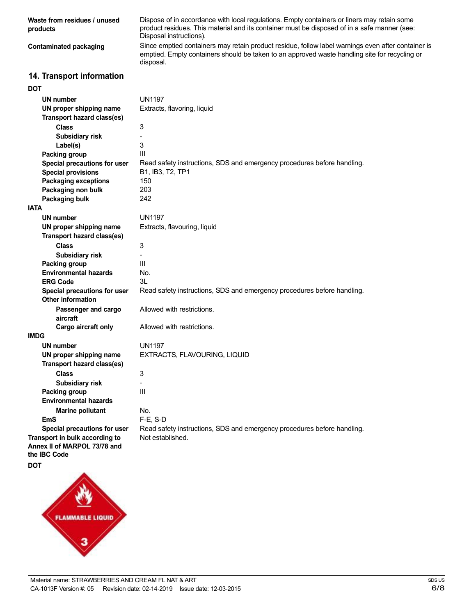**Waste from residues / unused products Contaminated packaging 14. Transport information DOT UN number UN proper shipping name Transport hazard class(es) Class Subsidiary risk Label(s) Packing group Special precautions for user Special provisions Packaging exceptions Packaging non bulk Packaging bulk IATA UN number UN proper shipping name Transport hazard class(es)** Dispose of in accordance with local regulations. Empty containers or liners may retain some product residues. This material and its container must be disposed of in a safe manner (see: Disposal instructions). Since emptied containers may retain product residue, follow label warnings even after container is emptied. Empty containers should be taken to an approved waste handling site for recycling or disposal. UN1197 Extracts, flavoring, liquid 3 - 3 III Read safety instructions, SDS and emergency procedures before handling. B1, IB3, T2, TP1 150 203 242 UN1197 Extracts, flavouring, liquid

**Class Subsidiary risk Packing group Environmental hazards ERG Code Special precautions for user Other information Passenger and cargo aircraft Cargo aircraft only IMDG UN number UN proper shipping name**

**Transport hazard class(es)**

**Special precautions for user Transport in bulk according to Annex II of MARPOL 73/78 and**

**Class**

**Packing group**

**EmS**

**the IBC Code**

UN1197 EXTRACTS, FLAVOURING, LIQUID 3

Allowed with restrictions.

Allowed with restrictions.

**Subsidiary risk Environmental hazards Marine pollutant**

3 - III No. 3L

- III

No. F-E, S-D Read safety instructions, SDS and emergency procedures before handling. Not established.

Read safety instructions, SDS and emergency procedures before handling.

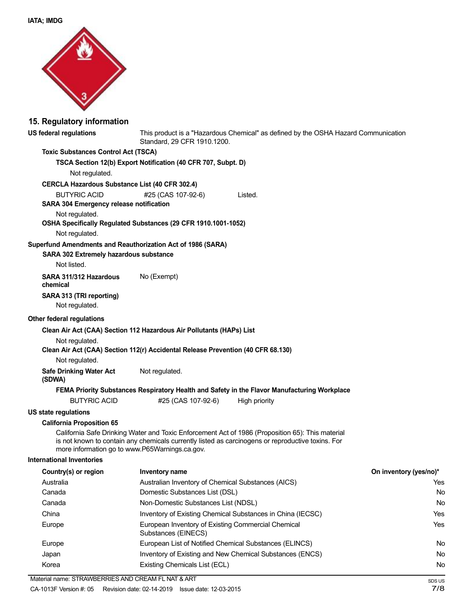

#### **15. Regulatory information**

# **US federal regulations** This product is a "Hazardous Chemical" as defined by the OSHA Hazard Communication Standard, 29 CFR 1910.1200. **Toxic Substances Control Act (TSCA) TSCA Section 12(b) Export Notification (40 CFR 707, Subpt. D)** Not regulated. **CERCLA Hazardous Substance List (40 CFR 302.4)** BUTYRIC ACID  $#25$  (CAS 107-92-6) Listed. **SARA 304 Emergency release notification** Not regulated. **OSHA Specifically Regulated Substances (29 CFR 1910.1001-1052)** Not regulated. **Superfund Amendments and Reauthorization Act of 1986 (SARA) SARA 302 Extremely hazardous substance** Not listed. **SARA 311/312 Hazardous** No (Exempt) **chemical SARA 313 (TRI reporting)** Not regulated. **Other federal regulations Clean Air Act (CAA) Section 112 Hazardous Air Pollutants (HAPs) List** Not regulated. **Clean Air Act (CAA) Section 112(r) Accidental Release Prevention (40 CFR 68.130)** Not regulated. **Safe Drinking Water Act** Not regulated. **(SDWA) FEMA Priority Substances Respiratory Health and Safety in the Flavor Manufacturing Workplace** BUTYRIC ACID  $#25$  (CAS 107-92-6) High priority **US state regulations California Proposition 65** California Safe Drinking Water and Toxic Enforcement Act of 1986 (Proposition 65): This material is not known to contain any chemicals currently listed as carcinogens or reproductive toxins. For more information go to www.P65Warnings.ca.gov. **International Inventories Country(s) or region Inventory name On inventory (yes/no)\*** Australia **Australian Inventory of Chemical Substances (AICS)** Canada Domestic Substances List (DSL) Canada **Non-Domestic Substances List (NDSL)** China Inventory of Existing Chemical Substances in China (IECSC) Europe European Inventory of Existing Commercial Chemical Substances (EINECS)

| Europe | European List of Notified Chemical Substances (ELINCS)   | No |
|--------|----------------------------------------------------------|----|
| Japan  | Inventory of Existing and New Chemical Substances (ENCS) | No |
| Korea  | Existing Chemicals List (ECL)                            | No |

Yes No No Yes Yes